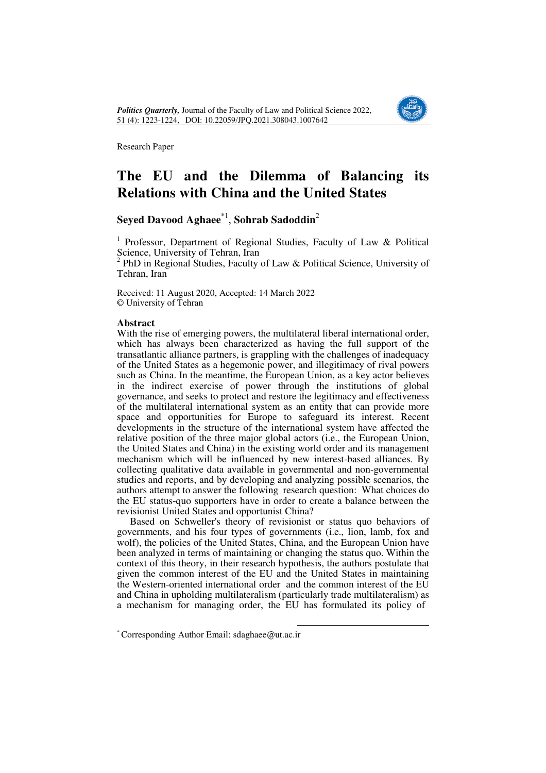

# **The EU and the Dilemma of Balancing its Relations with China and the United States**

# **Seyed Davood Aghaee\***<sup>1</sup> , **Sohrab Sadoddin**<sup>2</sup>

<sup>1</sup> Professor, Department of Regional Studies, Faculty of Law & Political Science, University of Tehran, Iran<br><sup>2</sup> PhD in Begional Studies, Feculty

 PhD in Regional Studies, Faculty of Law & Political Science, University of Tehran, Iran

Received: 11 August 2020, Accepted: 14 March 2022 © University of Tehran

### **Abstract**

With the rise of emerging powers, the multilateral liberal international order, which has always been characterized as having the full support of the transatlantic alliance partners, is grappling with the challenges of inadequacy of the United States as a hegemonic power, and illegitimacy of rival powers such as China. In the meantime, the European Union, as a key actor believes in the indirect exercise of power through the institutions of global governance, and seeks to protect and restore the legitimacy and effectiveness of the multilateral international system as an entity that can provide more space and opportunities for Europe to safeguard its interest. Recent developments in the structure of the international system have affected the relative position of the three major global actors (i.e., the European Union, the United States and China) in the existing world order and its management mechanism which will be influenced by new interest-based alliances. By collecting qualitative data available in governmental and non-governmental studies and reports, and by developing and analyzing possible scenarios, the authors attempt to answer the following research question: What choices do the EU status-quo supporters have in order to create a balance between the revisionist United States and opportunist China?

Based on Schweller's theory of revisionist or status quo behaviors of governments, and his four types of governments (i.e., lion, lamb, fox and wolf), the policies of the United States, China, and the European Union have been analyzed in terms of maintaining or changing the status quo. Within the context of this theory, in their research hypothesis, the authors postulate that given the common interest of the EU and the United States in maintaining the Western-oriented international order and the common interest of the EU and China in upholding multilateralism (particularly trade multilateralism) as a mechanism for managing order, the EU has formulated its policy of

<sup>\*</sup> Corresponding Author Email: sdaghaee@ut.ac.ir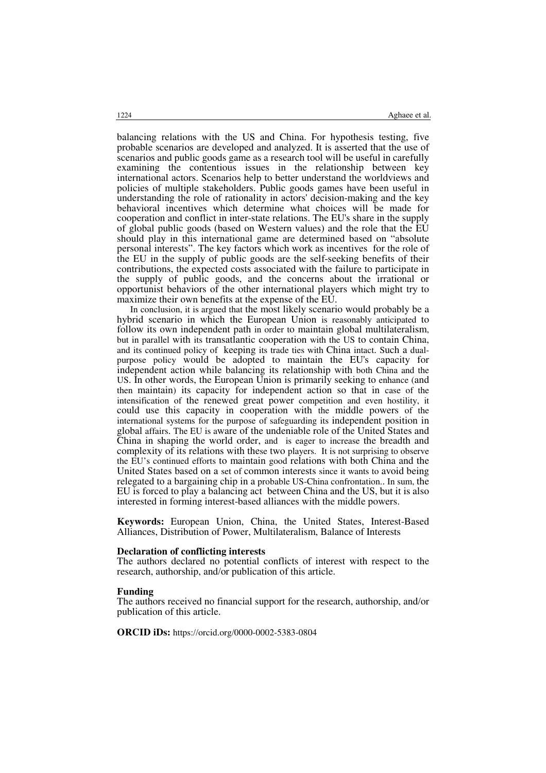balancing relations with the US and China. For hypothesis testing, five probable scenarios are developed and analyzed. It is asserted that the use of scenarios and public goods game as a research tool will be useful in carefully examining the contentious issues in the relationship between key international actors. Scenarios help to better understand the worldviews and policies of multiple stakeholders. Public goods games have been useful in understanding the role of rationality in actors' decision-making and the key behavioral incentives which determine what choices will be made for cooperation and conflict in inter-state relations. The EU's share in the supply of global public goods (based on Western values) and the role that the EU should play in this international game are determined based on "absolute personal interests". The key factors which work as incentives for the role of the EU in the supply of public goods are the self-seeking benefits of their contributions, the expected costs associated with the failure to participate in the supply of public goods, and the concerns about the irrational or opportunist behaviors of the other international players which might try to maximize their own benefits at the expense of the EU.

In conclusion, it is argued that the most likely scenario would probably be a hybrid scenario in which the European Union is reasonably anticipated to follow its own independent path in order to maintain global multilateralism, but in parallel with its transatlantic cooperation with the US to contain China, and its continued policy of keeping its trade ties with China intact. Such a dualpurpose policy would be adopted to maintain the EU's capacity for independent action while balancing its relationship with both China and the US. In other words, the European Union is primarily seeking to enhance (and then maintain) its capacity for independent action so that in case of the intensification of the renewed great power competition and even hostility, it could use this capacity in cooperation with the middle powers of the international systems for the purpose of safeguarding its independent position in global affairs. The EU is aware of the undeniable role of the United States and China in shaping the world order, and is eager to increase the breadth and complexity of its relations with these two players. It is not surprising to observe the EU's continued efforts to maintain good relations with both China and the United States based on a set of common interests since it wants to avoid being relegated to a bargaining chip in a probable US-China confrontation.. In sum, the EU is forced to play a balancing act between China and the US, but it is also interested in forming interest-based alliances with the middle powers.

**Keywords:** European Union, China, the United States, Interest-Based Alliances, Distribution of Power, Multilateralism, Balance of Interests

#### **Declaration of conflicting interests**

The authors declared no potential conflicts of interest with respect to the research, authorship, and/or publication of this article.

#### **Funding**

The authors received no financial support for the research, authorship, and/or publication of this article.

**ORCID iDs:** https://orcid.org/0000-0002-5383-0804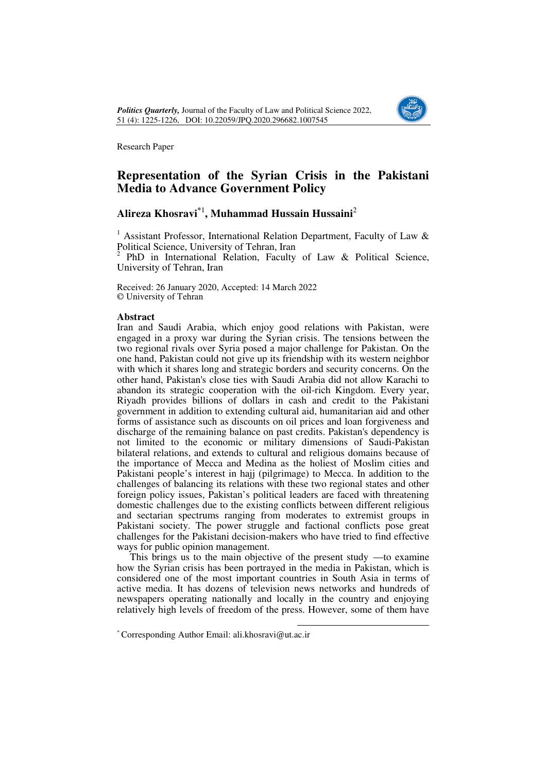

## **Representation of the Syrian Crisis in the Pakistani Media to Advance Government Policy**

# **Alireza Khosravi\***<sup>1</sup> **, Muhammad Hussain Hussaini**<sup>2</sup>

<sup>1</sup> Assistant Professor, International Relation Department, Faculty of Law & Political Science, University of Tehran, Iran

 $2$  PhD in International Relation, Faculty of Law & Political Science, University of Tehran, Iran

Received: 26 January 2020, Accepted: 14 March 2022 © University of Tehran

### **Abstract**

Iran and Saudi Arabia, which enjoy good relations with Pakistan, were engaged in a proxy war during the Syrian crisis. The tensions between the two regional rivals over Syria posed a major challenge for Pakistan. On the one hand, Pakistan could not give up its friendship with its western neighbor with which it shares long and strategic borders and security concerns. On the other hand, Pakistan's close ties with Saudi Arabia did not allow Karachi to abandon its strategic cooperation with the oil-rich Kingdom. Every year, Riyadh provides billions of dollars in cash and credit to the Pakistani government in addition to extending cultural aid, humanitarian aid and other forms of assistance such as discounts on oil prices and loan forgiveness and discharge of the remaining balance on past credits. Pakistan's dependency is not limited to the economic or military dimensions of Saudi-Pakistan bilateral relations, and extends to cultural and religious domains because of the importance of Mecca and Medina as the holiest of Moslim cities and Pakistani people's interest in hajj (pilgrimage) to Mecca. In addition to the challenges of balancing its relations with these two regional states and other foreign policy issues, Pakistan's political leaders are faced with threatening domestic challenges due to the existing conflicts between different religious and sectarian spectrums ranging from moderates to extremist groups in Pakistani society. The power struggle and factional conflicts pose great challenges for the Pakistani decision-makers who have tried to find effective ways for public opinion management.

This brings us to the main objective of the present study —to examine how the Syrian crisis has been portrayed in the media in Pakistan, which is considered one of the most important countries in South Asia in terms of active media. It has dozens of television news networks and hundreds of newspapers operating nationally and locally in the country and enjoying relatively high levels of freedom of the press. However, some of them have

<sup>\*</sup> Corresponding Author Email: ali.khosravi@ut.ac.ir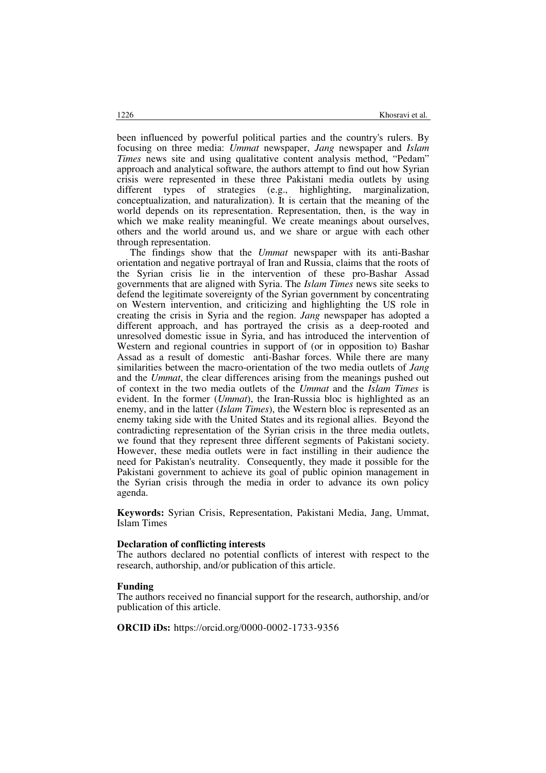been influenced by powerful political parties and the country's rulers. By focusing on three media: *Ummat* newspaper, *Jang* newspaper and *Islam Times* news site and using qualitative content analysis method, "Pedam" approach and analytical software, the authors attempt to find out how Syrian crisis were represented in these three Pakistani media outlets by using different types of strategies (e.g., highlighting, marginalization, conceptualization, and naturalization). It is certain that the meaning of the world depends on its representation. Representation, then, is the way in which we make reality meaningful. We create meanings about ourselves, others and the world around us, and we share or argue with each other through representation.

The findings show that the *Ummat* newspaper with its anti-Bashar orientation and negative portrayal of Iran and Russia, claims that the roots of the Syrian crisis lie in the intervention of these pro-Bashar Assad governments that are aligned with Syria. The *Islam Times* news site seeks to defend the legitimate sovereignty of the Syrian government by concentrating on Western intervention, and criticizing and highlighting the US role in creating the crisis in Syria and the region. *Jang* newspaper has adopted a different approach, and has portrayed the crisis as a deep-rooted and unresolved domestic issue in Syria, and has introduced the intervention of Western and regional countries in support of (or in opposition to) Bashar Assad as a result of domestic anti-Bashar forces. While there are many similarities between the macro-orientation of the two media outlets of *Jang* and the *Ummat*, the clear differences arising from the meanings pushed out of context in the two media outlets of the *Ummat* and the *Islam Times* is evident. In the former (*Ummat*), the Iran-Russia bloc is highlighted as an enemy, and in the latter (*Islam Times*), the Western bloc is represented as an enemy taking side with the United States and its regional allies. Beyond the contradicting representation of the Syrian crisis in the three media outlets, we found that they represent three different segments of Pakistani society. However, these media outlets were in fact instilling in their audience the need for Pakistan's neutrality. Consequently, they made it possible for the Pakistani government to achieve its goal of public opinion management in the Syrian crisis through the media in order to advance its own policy agenda.

**Keywords:** Syrian Crisis, Representation, Pakistani Media, Jang, Ummat, Islam Times

### **Declaration of conflicting interests**

The authors declared no potential conflicts of interest with respect to the research, authorship, and/or publication of this article.

#### **Funding**

The authors received no financial support for the research, authorship, and/or publication of this article.

**ORCID iDs:** https://orcid.org/0000-0002-1733-9356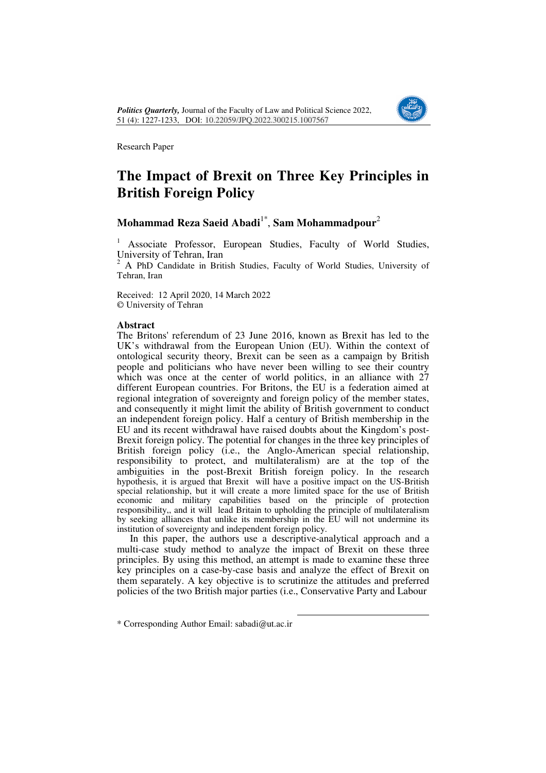

# **The Impact of Brexit on Three Key Principles in British Foreign Policy**

# **Mohammad Reza Saeid Abadi**1\* , **Sam Mohammadpour**<sup>2</sup>

1 Associate Professor, European Studies, Faculty of World Studies, University of Tehran, Iran

2 A PhD Candidate in British Studies, Faculty of World Studies, University of Tehran, Iran

Received: 12 April 2020, 14 March 2022 © University of Tehran

## **Abstract**

The Britons' referendum of 23 June 2016, known as Brexit has led to the UK's withdrawal from the European Union (EU). Within the context of ontological security theory, Brexit can be seen as a campaign by British people and politicians who have never been willing to see their country which was once at the center of world politics, in an alliance with  $27$ different European countries. For Britons, the EU is a federation aimed at regional integration of sovereignty and foreign policy of the member states, and consequently it might limit the ability of British government to conduct an independent foreign policy. Half a century of British membership in the EU and its recent withdrawal have raised doubts about the Kingdom's post-Brexit foreign policy. The potential for changes in the three key principles of British foreign policy (i.e., the Anglo-American special relationship, responsibility to protect, and multilateralism) are at the top of the ambiguities in the post-Brexit British foreign policy. In the research hypothesis, it is argued that Brexit will have a positive impact on the US-British special relationship, but it will create a more limited space for the use of British economic and military capabilities based on the principle of protection responsibility,, and it will lead Britain to upholding the principle of multilateralism by seeking alliances that unlike its membership in the EU will not undermine its institution of sovereignty and independent foreign policy.

In this paper, the authors use a descriptive-analytical approach and a multi-case study method to analyze the impact of Brexit on these three principles. By using this method, an attempt is made to examine these three key principles on a case-by-case basis and analyze the effect of Brexit on them separately. A key objective is to scrutinize the attitudes and preferred policies of the two British major parties (i.e., Conservative Party and Labour

<sup>\*</sup> Corresponding Author Email: sabadi@ut.ac.ir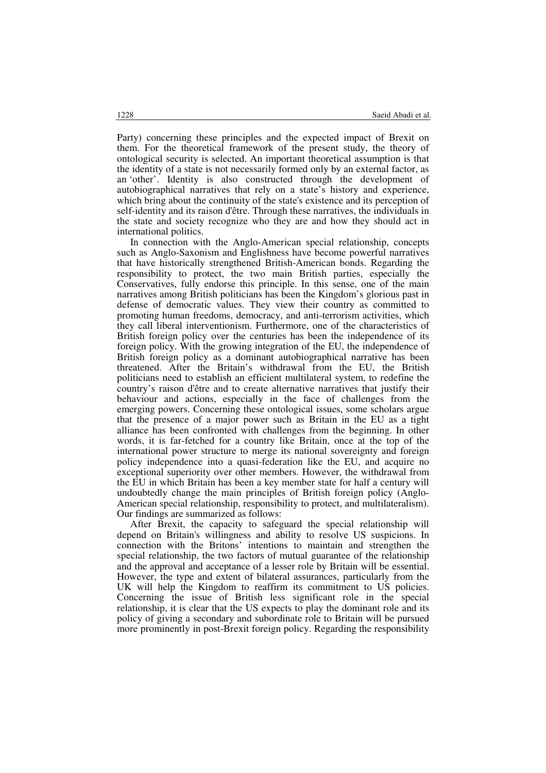Party) concerning these principles and the expected impact of Brexit on them. For the theoretical framework of the present study, the theory of ontological security is selected. An important theoretical assumption is that the identity of a state is not necessarily formed only by an external factor, as an 'other'. Identity is also constructed through the development of autobiographical narratives that rely on a state's history and experience, which bring about the continuity of the state's existence and its perception of self-identity and its raison d'être. Through these narratives, the individuals in the state and society recognize who they are and how they should act in international politics.

In connection with the Anglo-American special relationship, concepts such as Anglo-Saxonism and Englishness have become powerful narratives that have historically strengthened British-American bonds. Regarding the responsibility to protect, the two main British parties, especially the Conservatives, fully endorse this principle. In this sense, one of the main narratives among British politicians has been the Kingdom's glorious past in defense of democratic values. They view their country as committed to promoting human freedoms, democracy, and anti-terrorism activities, which they call liberal interventionism. Furthermore, one of the characteristics of British foreign policy over the centuries has been the independence of its foreign policy. With the growing integration of the EU, the independence of British foreign policy as a dominant autobiographical narrative has been threatened. After the Britain's withdrawal from the EU, the British politicians need to establish an efficient multilateral system, to redefine the country's raison d'être and to create alternative narratives that justify their behaviour and actions, especially in the face of challenges from the emerging powers. Concerning these ontological issues, some scholars argue that the presence of a major power such as Britain in the EU as a tight alliance has been confronted with challenges from the beginning. In other words, it is far-fetched for a country like Britain, once at the top of the international power structure to merge its national sovereignty and foreign policy independence into a quasi-federation like the EU, and acquire no exceptional superiority over other members. However, the withdrawal from the EU in which Britain has been a key member state for half a century will undoubtedly change the main principles of British foreign policy (Anglo-American special relationship, responsibility to protect, and multilateralism). Our findings are summarized as follows:

After Brexit, the capacity to safeguard the special relationship will depend on Britain's willingness and ability to resolve US suspicions. In connection with the Britons' intentions to maintain and strengthen the special relationship, the two factors of mutual guarantee of the relationship and the approval and acceptance of a lesser role by Britain will be essential. However, the type and extent of bilateral assurances, particularly from the UK will help the Kingdom to reaffirm its commitment to US policies. Concerning the issue of British less significant role in the special relationship, it is clear that the US expects to play the dominant role and its policy of giving a secondary and subordinate role to Britain will be pursued more prominently in post-Brexit foreign policy. Regarding the responsibility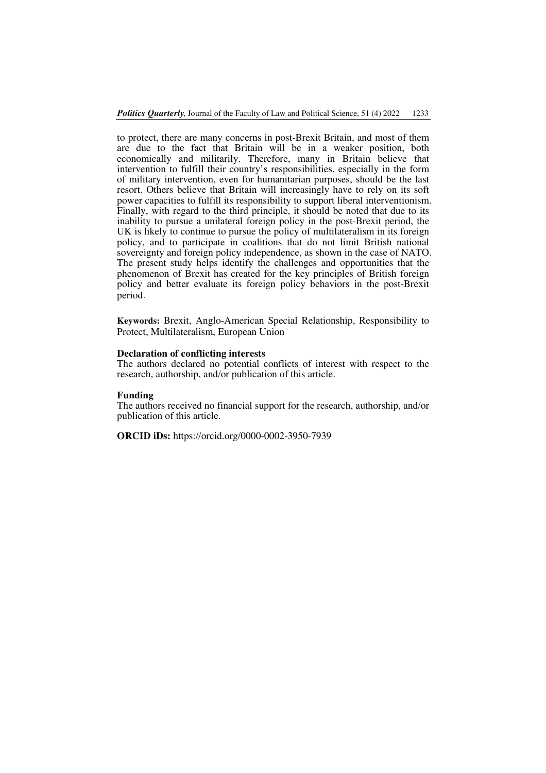to protect, there are many concerns in post-Brexit Britain, and most of them are due to the fact that Britain will be in a weaker position, both economically and militarily. Therefore, many in Britain believe that intervention to fulfill their country's responsibilities, especially in the form of military intervention, even for humanitarian purposes, should be the last resort. Others believe that Britain will increasingly have to rely on its soft power capacities to fulfill its responsibility to support liberal interventionism. Finally, with regard to the third principle, it should be noted that due to its inability to pursue a unilateral foreign policy in the post-Brexit period, the UK is likely to continue to pursue the policy of multilateralism in its foreign policy, and to participate in coalitions that do not limit British national sovereignty and foreign policy independence, as shown in the case of NATO. The present study helps identify the challenges and opportunities that the phenomenon of Brexit has created for the key principles of British foreign policy and better evaluate its foreign policy behaviors in the post-Brexit period.

**Keywords:** Brexit, Anglo-American Special Relationship, Responsibility to Protect, Multilateralism, European Union

#### **Declaration of conflicting interests**

The authors declared no potential conflicts of interest with respect to the research, authorship, and/or publication of this article.

#### **Funding**

The authors received no financial support for the research, authorship, and/or publication of this article.

**ORCID iDs:** https://orcid.org/0000-0002-3950-7939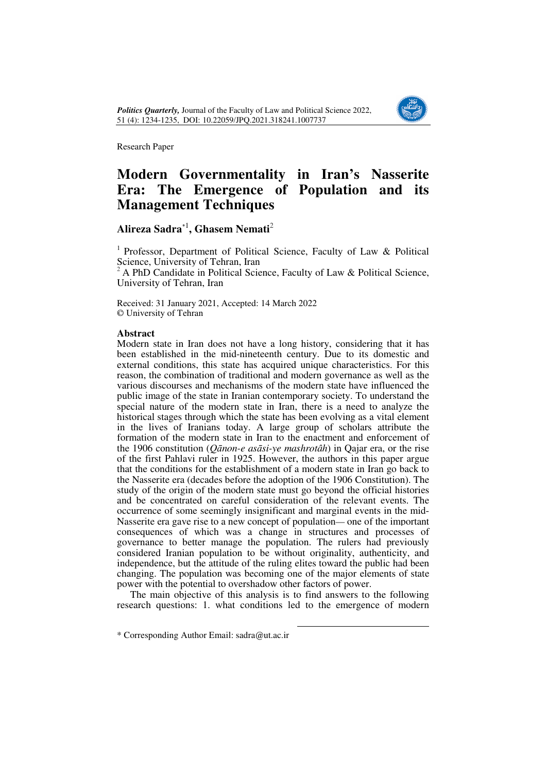

# **Modern Governmentality in Iran's Nasserite Era: The Emergence of Population and its Management Techniques**

# **Alireza Sadra**\*<sup>1</sup> **, Ghasem Nemati**<sup>2</sup>

<sup>1</sup> Professor, Department of Political Science, Faculty of Law  $\&$  Political Science, University of Tehran, Iran

<sup>2</sup>A PhD Candidate in Political Science, Faculty of Law & Political Science, University of Tehran, Iran

Received: 31 January 2021, Accepted: 14 March 2022 © University of Tehran

### **Abstract**

Modern state in Iran does not have a long history, considering that it has been established in the mid-nineteenth century. Due to its domestic and external conditions, this state has acquired unique characteristics. For this reason, the combination of traditional and modern governance as well as the various discourses and mechanisms of the modern state have influenced the public image of the state in Iranian contemporary society. To understand the special nature of the modern state in Iran, there is a need to analyze the historical stages through which the state has been evolving as a vital element in the lives of Iranians today. A large group of scholars attribute the formation of the modern state in Iran to the enactment and enforcement of the 1906 constitution (*Qānon-e asāsi-ye mashrotâh*) in Qajar era, or the rise of the first Pahlavi ruler in 1925. However, the authors in this paper argue that the conditions for the establishment of a modern state in Iran go back to the Nasserite era (decades before the adoption of the 1906 Constitution). The study of the origin of the modern state must go beyond the official histories and be concentrated on careful consideration of the relevant events. The occurrence of some seemingly insignificant and marginal events in the mid-Nasserite era gave rise to a new concept of population— one of the important consequences of which was a change in structures and processes of governance to better manage the population. The rulers had previously considered Iranian population to be without originality, authenticity, and independence, but the attitude of the ruling elites toward the public had been changing. The population was becoming one of the major elements of state power with the potential to overshadow other factors of power.

The main objective of this analysis is to find answers to the following research questions: 1. what conditions led to the emergence of modern

<sup>\*</sup> Corresponding Author Email: sadra@ut.ac.ir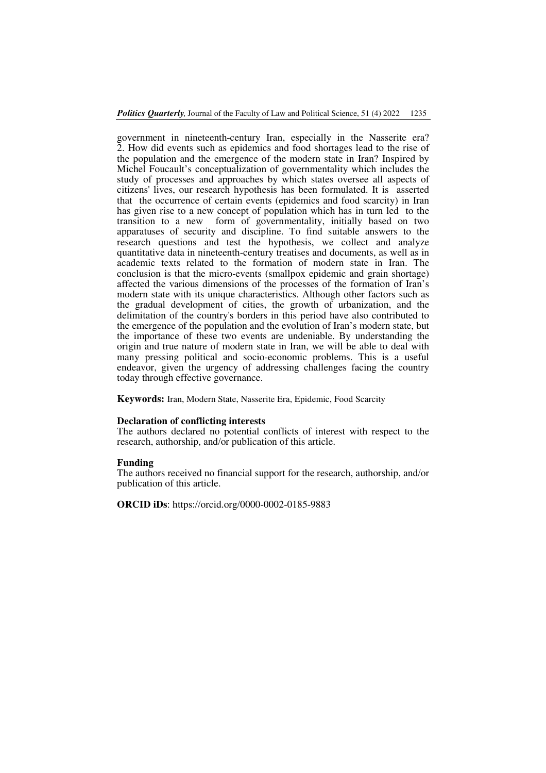government in nineteenth-century Iran, especially in the Nasserite era? 2. How did events such as epidemics and food shortages lead to the rise of the population and the emergence of the modern state in Iran? Inspired by Michel Foucault's conceptualization of governmentality which includes the study of processes and approaches by which states oversee all aspects of citizens' lives, our research hypothesis has been formulated. It is asserted that the occurrence of certain events (epidemics and food scarcity) in Iran has given rise to a new concept of population which has in turn led to the transition to a new form of governmentality, initially based on two apparatuses of security and discipline. To find suitable answers to the research questions and test the hypothesis, we collect and analyze quantitative data in nineteenth-century treatises and documents, as well as in academic texts related to the formation of modern state in Iran. The conclusion is that the micro-events (smallpox epidemic and grain shortage) affected the various dimensions of the processes of the formation of Iran's modern state with its unique characteristics. Although other factors such as the gradual development of cities, the growth of urbanization, and the delimitation of the country's borders in this period have also contributed to the emergence of the population and the evolution of Iran's modern state, but the importance of these two events are undeniable. By understanding the origin and true nature of modern state in Iran, we will be able to deal with many pressing political and socio-economic problems. This is a useful endeavor, given the urgency of addressing challenges facing the country today through effective governance.

**Keywords:** Iran, Modern State, Nasserite Era, Epidemic, Food Scarcity

#### **Declaration of conflicting interests**

The authors declared no potential conflicts of interest with respect to the research, authorship, and/or publication of this article.

#### **Funding**

The authors received no financial support for the research, authorship, and/or publication of this article.

**ORCID iDs**: https://orcid.org/0000-0002-0185-9883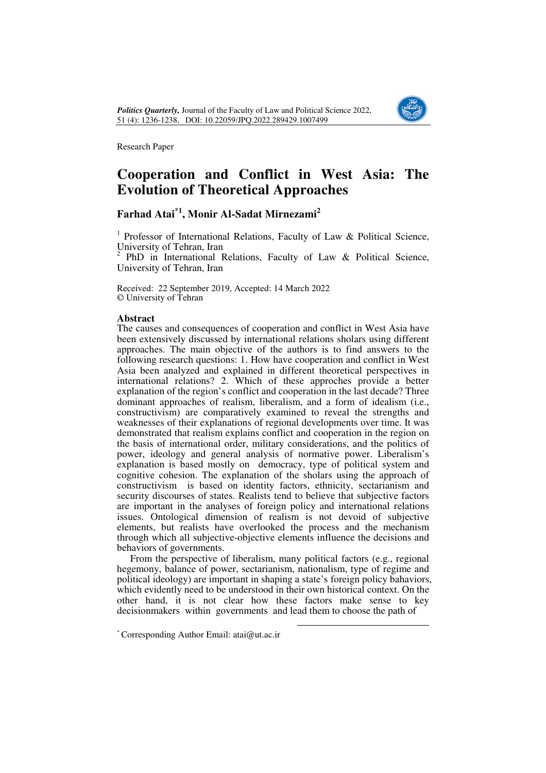

# **Cooperation and Conflict in West Asia: The Evolution of Theoretical Approaches**

# **Farhad Atai\*1, Monir Al-Sadat Mirnezami<sup>2</sup>**

<sup>1</sup> Professor of International Relations, Faculty of Law & Political Science, University of Tehran, Iran

<sup>2</sup> PhD in International Relations, Faculty of Law & Political Science, University of Tehran, Iran

Received: 22 September 2019, Accepted: 14 March 2022 © University of Tehran

### **Abstract**

The causes and consequences of cooperation and conflict in West Asia have been extensively discussed by international relations sholars using different approaches. The main objective of the authors is to find answers to the following research questions: 1. How have cooperation and conflict in West Asia been analyzed and explained in different theoretical perspectives in international relations? 2. Which of these approches provide a better explanation of the region's conflict and cooperation in the last decade? Three dominant approaches of realism, liberalism, and a form of idealism (i.e., constructivism) are comparatively examined to reveal the strengths and weaknesses of their explanations of regional developments over time. It was demonstrated that realism explains conflict and cooperation in the region on the basis of international order, military considerations, and the politics of power, ideology and general analysis of normative power. Liberalism's explanation is based mostly on democracy, type of political system and cognitive cohesion. The explanation of the sholars using the approach of constructivism is based on identity factors, ethnicity, sectarianism and security discourses of states. Realists tend to believe that subjective factors are important in the analyses of foreign policy and international relations issues. Ontological dimension of realism is not devoid of subjective elements, but realists have overlooked the process and the mechanism through which all subjective-objective elements influence the decisions and behaviors of governments.

From the perspective of liberalism, many political factors (e.g., regional hegemony, balance of power, sectarianism, nationalism, type of regime and political ideology) are important in shaping a state's foreign policy bahaviors, which evidently need to be understood in their own historical context. On the other hand, it is not clear how these factors make sense to key decisionmakers within governments and lead them to choose the path of

<sup>\*</sup> Corresponding Author Email: atai@ut.ac.ir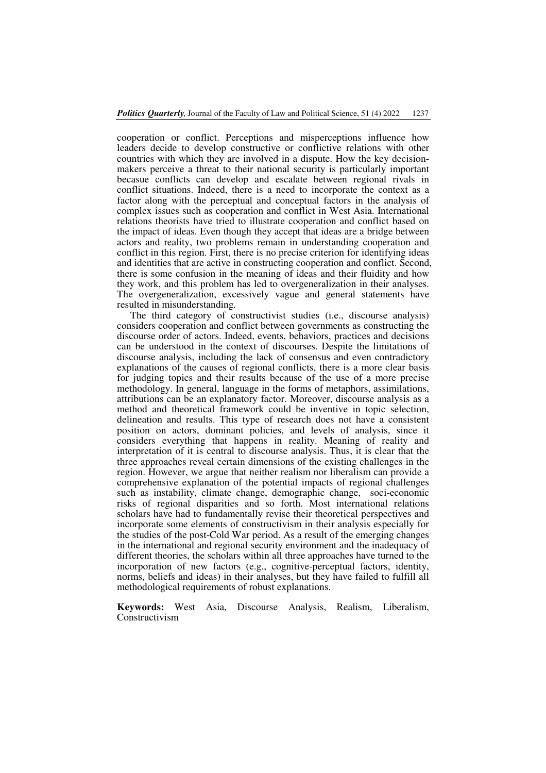cooperation or conflict. Perceptions and misperceptions influence how leaders decide to develop constructive or conflictive relations with other countries with which they are involved in a dispute. How the key decisionmakers perceive a threat to their national security is particularly important becasue conflicts can develop and escalate between regional rivals in conflict situations. Indeed, there is a need to incorporate the context as a factor along with the perceptual and conceptual factors in the analysis of complex issues such as cooperation and conflict in West Asia. International relations theorists have tried to illustrate cooperation and conflict based on the impact of ideas. Even though they accept that ideas are a bridge between actors and reality, two problems remain in understanding cooperation and conflict in this region. First, there is no precise criterion for identifying ideas and identities that are active in constructing cooperation and conflict. Second, there is some confusion in the meaning of ideas and their fluidity and how they work, and this problem has led to overgeneralization in their analyses. The overgeneralization, excessively vague and general statements have resulted in misunderstanding.

The third category of constructivist studies (i.e., discourse analysis) considers cooperation and conflict between governments as constructing the discourse order of actors. Indeed, events, behaviors, practices and decisions can be understood in the context of discourses. Despite the limitations of discourse analysis, including the lack of consensus and even contradictory explanations of the causes of regional conflicts, there is a more clear basis for judging topics and their results because of the use of a more precise methodology. In general, language in the forms of metaphors, assimilations, attributions can be an explanatory factor. Moreover, discourse analysis as a method and theoretical framework could be inventive in topic selection, delineation and results. This type of research does not have a consistent position on actors, dominant policies, and levels of analysis, since it considers everything that happens in reality. Meaning of reality and interpretation of it is central to discourse analysis. Thus, it is clear that the three approaches reveal certain dimensions of the existing challenges in the region. However, we argue that neither realism nor liberalism can provide a comprehensive explanation of the potential impacts of regional challenges such as instability, climate change, demographic change, soci-economic risks of regional disparities and so forth. Most international relations scholars have had to fundamentally revise their theoretical perspectives and incorporate some elements of constructivism in their analysis especially for the studies of the post-Cold War period. As a result of the emerging changes in the international and regional security environment and the inadequacy of different theories, the scholars within all three approaches have turned to the incorporation of new factors (e.g., cognitive-perceptual factors, identity, norms, beliefs and ideas) in their analyses, but they have failed to fulfill all methodological requirements of robust explanations.

**Keywords:** West Asia, Discourse Analysis, Realism, Liberalism, Constructivism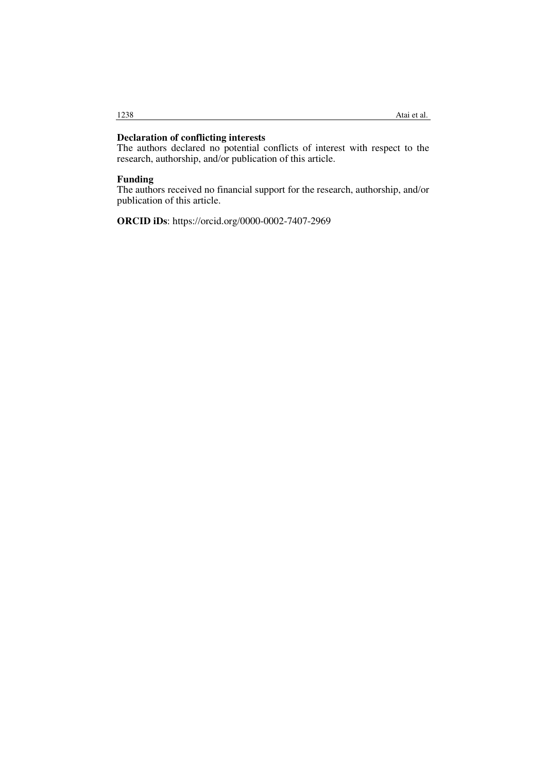## **Declaration of conflicting interests**

The authors declared no potential conflicts of interest with respect to the research, authorship, and/or publication of this article.

### **Funding**

The authors received no financial support for the research, authorship, and/or publication of this article.

**ORCID iDs**: https://orcid.org/0000-0002-7407-2969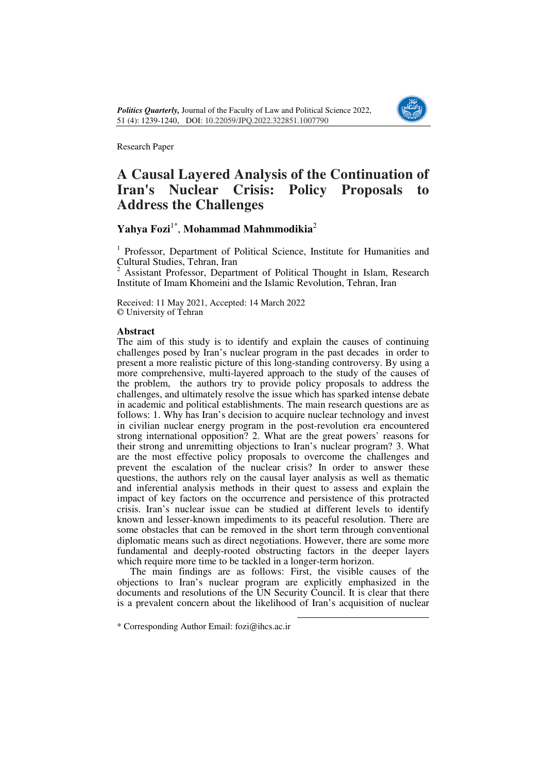

# **A Causal Layered Analysis of the Continuation of Iran's Nuclear Crisis: Policy Proposals to Address the Challenges**

# **Yahya Fozi**1\* , **Mohammad Mahmmodikia**<sup>2</sup>

<sup>1</sup> Professor, Department of Political Science, Institute for Humanities and Cultural Studies, Tehran, Iran<br><sup>2</sup> Assistant Professor, Depart

 Assistant Professor, Department of Political Thought in Islam, Research Institute of Imam Khomeini and the Islamic Revolution, Tehran, Iran

Received: 11 May 2021, Accepted: 14 March 2022 © University of Tehran

### **Abstract**

The aim of this study is to identify and explain the causes of continuing challenges posed by Iran's nuclear program in the past decades in order to present a more realistic picture of this long-standing controversy. By using a more comprehensive, multi-layered approach to the study of the causes of the problem, the authors try to provide policy proposals to address the challenges, and ultimately resolve the issue which has sparked intense debate in academic and political establishments. The main research questions are as follows: 1. Why has Iran's decision to acquire nuclear technology and invest in civilian nuclear energy program in the post-revolution era encountered strong international opposition? 2. What are the great powers' reasons for their strong and unremitting objections to Iran's nuclear program? 3. What are the most effective policy proposals to overcome the challenges and prevent the escalation of the nuclear crisis? In order to answer these questions, the authors rely on the causal layer analysis as well as thematic and inferential analysis methods in their quest to assess and explain the impact of key factors on the occurrence and persistence of this protracted crisis. Iran's nuclear issue can be studied at different levels to identify known and lesser-known impediments to its peaceful resolution. There are some obstacles that can be removed in the short term through conventional diplomatic means such as direct negotiations. However, there are some more fundamental and deeply-rooted obstructing factors in the deeper layers which require more time to be tackled in a longer-term horizon.

The main findings are as follows: First, the visible causes of the objections to Iran's nuclear program are explicitly emphasized in the documents and resolutions of the UN Security Council. It is clear that there is a prevalent concern about the likelihood of Iran's acquisition of nuclear

 $\overline{a}$ 

\* Corresponding Author Email: fozi@ihcs.ac.ir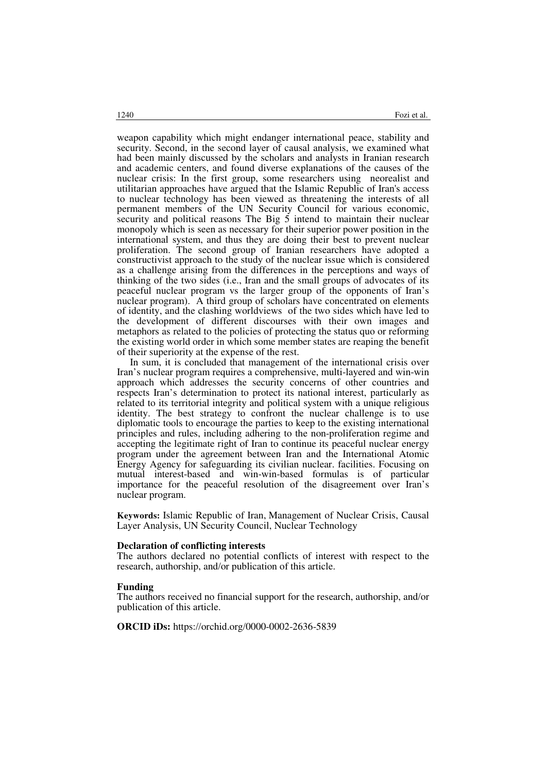weapon capability which might endanger international peace, stability and security. Second, in the second layer of causal analysis, we examined what had been mainly discussed by the scholars and analysts in Iranian research and academic centers, and found diverse explanations of the causes of the nuclear crisis: In the first group, some researchers using neorealist and utilitarian approaches have argued that the Islamic Republic of Iran's access to nuclear technology has been viewed as threatening the interests of all permanent members of the UN Security Council for various economic, security and political reasons The Big  $\overline{5}$  intend to maintain their nuclear monopoly which is seen as necessary for their superior power position in the international system, and thus they are doing their best to prevent nuclear proliferation. The second group of Iranian researchers have adopted a constructivist approach to the study of the nuclear issue which is considered as a challenge arising from the differences in the perceptions and ways of thinking of the two sides (i.e., Iran and the small groups of advocates of its peaceful nuclear program vs the larger group of the opponents of Iran's nuclear program). A third group of scholars have concentrated on elements of identity, and the clashing worldviews of the two sides which have led to the development of different discourses with their own images and metaphors as related to the policies of protecting the status quo or reforming the existing world order in which some member states are reaping the benefit of their superiority at the expense of the rest.

In sum, it is concluded that management of the international crisis over Iran's nuclear program requires a comprehensive, multi-layered and win-win approach which addresses the security concerns of other countries and respects Iran's determination to protect its national interest, particularly as related to its territorial integrity and political system with a unique religious identity. The best strategy to confront the nuclear challenge is to use diplomatic tools to encourage the parties to keep to the existing international principles and rules, including adhering to the non-proliferation regime and accepting the legitimate right of Iran to continue its peaceful nuclear energy program under the agreement between Iran and the International Atomic Energy Agency for safeguarding its civilian nuclear. facilities. Focusing on mutual interest-based and win-win-based formulas is of particular importance for the peaceful resolution of the disagreement over Iran's nuclear program.

**Keywords:** Islamic Republic of Iran, Management of Nuclear Crisis, Causal Layer Analysis, UN Security Council, Nuclear Technology

#### **Declaration of conflicting interests**

The authors declared no potential conflicts of interest with respect to the research, authorship, and/or publication of this article.

#### **Funding**

The authors received no financial support for the research, authorship, and/or publication of this article.

**ORCID iDs:** https://orchid.org/0000-0002-2636-5839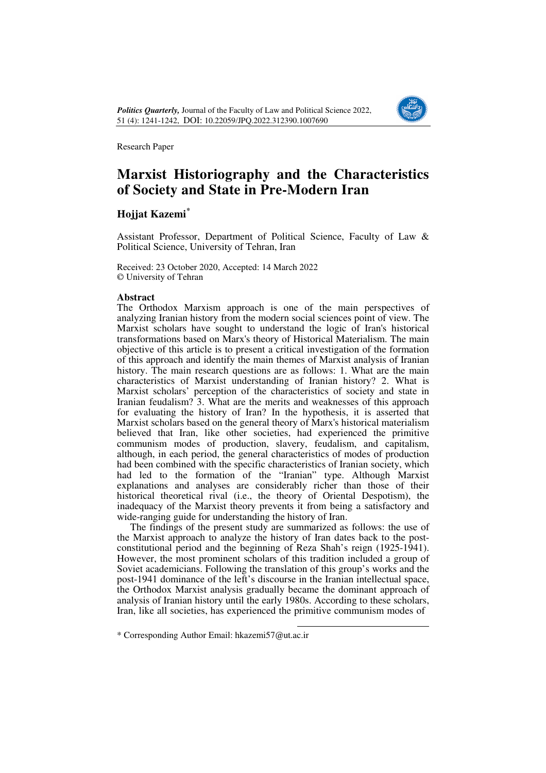

# **Marxist Historiography and the Characteristics of Society and State in Pre-Modern Iran**

# $\mathbf{H}$ ojjat Kazemi $^*$

Assistant Professor, Department of Political Science, Faculty of Law & Political Science, University of Tehran, Iran

Received: 23 October 2020, Accepted: 14 March 2022 © University of Tehran

## **Abstract**

The Orthodox Marxism approach is one of the main perspectives of analyzing Iranian history from the modern social sciences point of view. The Marxist scholars have sought to understand the logic of Iran's historical transformations based on Marx's theory of Historical Materialism. The main objective of this article is to present a critical investigation of the formation of this approach and identify the main themes of Marxist analysis of Iranian history. The main research questions are as follows: 1. What are the main characteristics of Marxist understanding of Iranian history? 2. What is Marxist scholars' perception of the characteristics of society and state in Iranian feudalism? 3. What are the merits and weaknesses of this approach for evaluating the history of Iran? In the hypothesis, it is asserted that Marxist scholars based on the general theory of Marx's historical materialism believed that Iran, like other societies, had experienced the primitive communism modes of production, slavery, feudalism, and capitalism, although, in each period, the general characteristics of modes of production had been combined with the specific characteristics of Iranian society, which had led to the formation of the "Iranian" type. Although Marxist explanations and analyses are considerably richer than those of their historical theoretical rival (i.e., the theory of Oriental Despotism), the inadequacy of the Marxist theory prevents it from being a satisfactory and wide-ranging guide for understanding the history of Iran.

The findings of the present study are summarized as follows: the use of the Marxist approach to analyze the history of Iran dates back to the postconstitutional period and the beginning of Reza Shah's reign (1925-1941). However, the most prominent scholars of this tradition included a group of Soviet academicians. Following the translation of this group's works and the post-1941 dominance of the left's discourse in the Iranian intellectual space, the Orthodox Marxist analysis gradually became the dominant approach of analysis of Iranian history until the early 1980s. According to these scholars, Iran, like all societies, has experienced the primitive communism modes of

<sup>\*</sup> Corresponding Author Email: hkazemi57@ut.ac.ir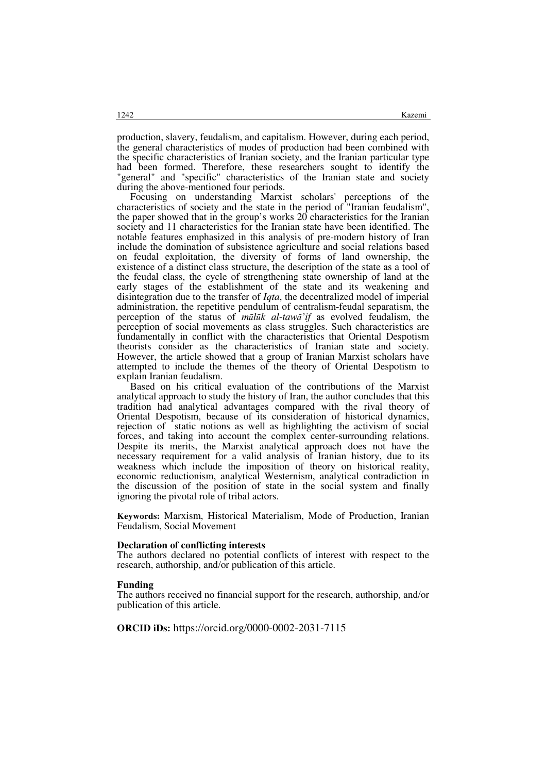production, slavery, feudalism, and capitalism. However, during each period, the general characteristics of modes of production had been combined with the specific characteristics of Iranian society, and the Iranian particular type had been formed. Therefore, these researchers sought to identify the "general" and "specific" characteristics of the Iranian state and society during the above-mentioned four periods.

Focusing on understanding Marxist scholars' perceptions of the characteristics of society and the state in the period of "Iranian feudalism", the paper showed that in the group's works  $20$  characteristics for the Iranian society and 11 characteristics for the Iranian state have been identified. The notable features emphasized in this analysis of pre-modern history of Iran include the domination of subsistence agriculture and social relations based on feudal exploitation, the diversity of forms of land ownership, the existence of a distinct class structure, the description of the state as a tool of the feudal class, the cycle of strengthening state ownership of land at the early stages of the establishment of the state and its weakening and disintegration due to the transfer of *Iqta*, the decentralized model of imperial administration, the repetitive pendulum of centralism-feudal separatism, the perception of the status of *mūlūk al-tawā'if* as evolved feudalism, the perception of social movements as class struggles. Such characteristics are fundamentally in conflict with the characteristics that Oriental Despotism theorists consider as the characteristics of Iranian state and society. However, the article showed that a group of Iranian Marxist scholars have attempted to include the themes of the theory of Oriental Despotism to explain Iranian feudalism.

Based on his critical evaluation of the contributions of the Marxist analytical approach to study the history of Iran, the author concludes that this tradition had analytical advantages compared with the rival theory of Oriental Despotism, because of its consideration of historical dynamics, rejection of static notions as well as highlighting the activism of social forces, and taking into account the complex center-surrounding relations. Despite its merits, the Marxist analytical approach does not have the necessary requirement for a valid analysis of Iranian history, due to its weakness which include the imposition of theory on historical reality, economic reductionism, analytical Westernism, analytical contradiction in the discussion of the position of state in the social system and finally ignoring the pivotal role of tribal actors.

**Keywords:** Marxism, Historical Materialism, Mode of Production, Iranian Feudalism, Social Movement

#### **Declaration of conflicting interests**

The authors declared no potential conflicts of interest with respect to the research, authorship, and/or publication of this article.

#### **Funding**

The authors received no financial support for the research, authorship, and/or publication of this article.

**ORCID iDs:** https://orcid.org/0000-0002-2031-7115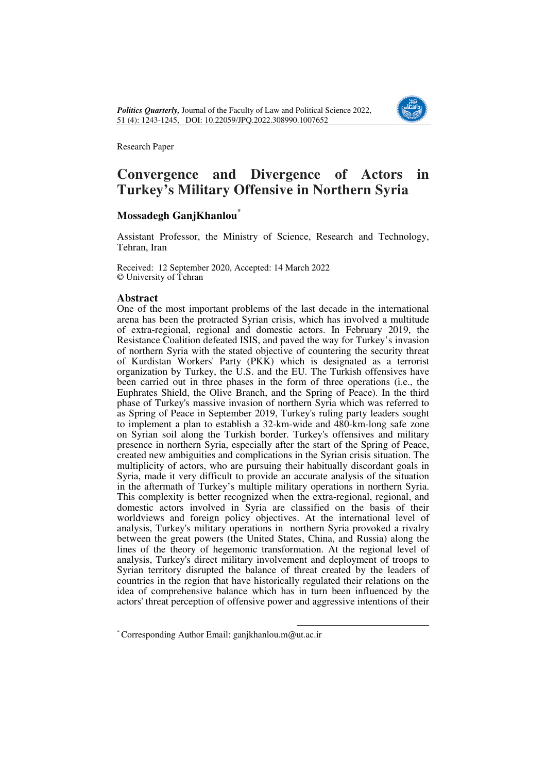

# **Convergence and Divergence of Actors in Turkey's Military Offensive in Northern Syria**

## **Mossadegh GanjKhanlou\*1**

Assistant Professor, the Ministry of Science, Research and Technology, Tehran, Iran

Received: 12 September 2020, Accepted: 14 March 2022 © University of Tehran

## **Abstract**

One of the most important problems of the last decade in the international arena has been the protracted Syrian crisis, which has involved a multitude of extra-regional, regional and domestic actors. In February 2019, the Resistance Coalition defeated ISIS, and paved the way for Turkey's invasion of northern Syria with the stated objective of countering the security threat of Kurdistan Workers' Party (PKK) which is designated as a terrorist organization by Turkey, the U.S. and the EU. The Turkish offensives have been carried out in three phases in the form of three operations (i.e., the Euphrates Shield, the Olive Branch, and the Spring of Peace). In the third phase of Turkey's massive invasion of northern Syria which was referred to as Spring of Peace in September 2019, Turkey's ruling party leaders sought to implement a plan to establish a 32-km-wide and 480-km-long safe zone on Syrian soil along the Turkish border. Turkey's offensives and military presence in northern Syria, especially after the start of the Spring of Peace, created new ambiguities and complications in the Syrian crisis situation. The multiplicity of actors, who are pursuing their habitually discordant goals in Syria, made it very difficult to provide an accurate analysis of the situation in the aftermath of Turkey's multiple military operations in northern Syria. This complexity is better recognized when the extra-regional, regional, and domestic actors involved in Syria are classified on the basis of their worldviews and foreign policy objectives. At the international level of analysis, Turkey's military operations in northern Syria provoked a rivalry between the great powers (the United States, China, and Russia) along the lines of the theory of hegemonic transformation. At the regional level of analysis, Turkey's direct military involvement and deployment of troops to Syrian territory disrupted the balance of threat created by the leaders of countries in the region that have historically regulated their relations on the idea of comprehensive balance which has in turn been influenced by the actors' threat perception of offensive power and aggressive intentions of their

<sup>\*</sup> Corresponding Author Email: ganjkhanlou.m@ut.ac.ir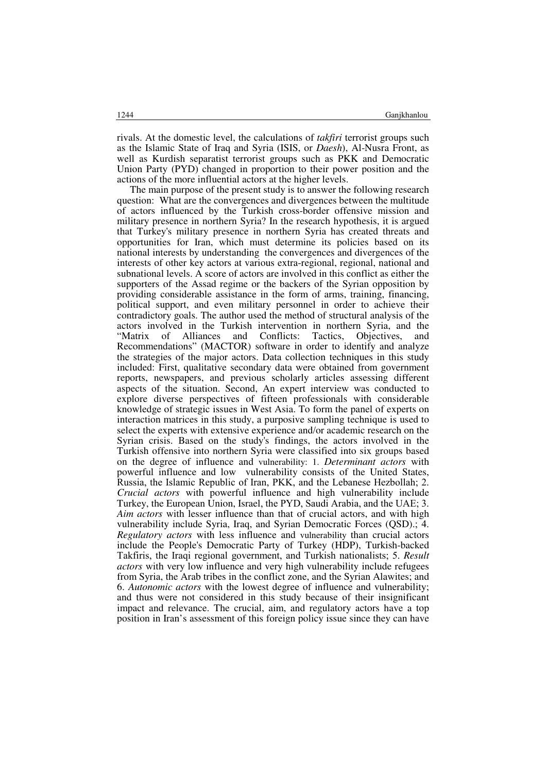rivals. At the domestic level, the calculations of *takfiri* terrorist groups such as the Islamic State of Iraq and Syria (ISIS, or *Daesh*), Al-Nusra Front, as well as Kurdish separatist terrorist groups such as PKK and Democratic Union Party (PYD) changed in proportion to their power position and the actions of the more influential actors at the higher levels.

The main purpose of the present study is to answer the following research question: What are the convergences and divergences between the multitude of actors influenced by the Turkish cross-border offensive mission and military presence in northern Syria? In the research hypothesis, it is argued that Turkey's military presence in northern Syria has created threats and opportunities for Iran, which must determine its policies based on its national interests by understanding the convergences and divergences of the interests of other key actors at various extra-regional, regional, national and subnational levels. A score of actors are involved in this conflict as either the supporters of the Assad regime or the backers of the Syrian opposition by providing considerable assistance in the form of arms, training, financing, political support, and even military personnel in order to achieve their contradictory goals. The author used the method of structural analysis of the actors involved in the Turkish intervention in northern Syria, and the "Matrix of Alliances and Conflicts: Tactics, Objectives, and of Alliances and Conflicts: Tactics, Objectives, and Recommendations" (MACTOR) software in order to identify and analyze the strategies of the major actors. Data collection techniques in this study included: First, qualitative secondary data were obtained from government reports, newspapers, and previous scholarly articles assessing different aspects of the situation. Second, An expert interview was conducted to explore diverse perspectives of fifteen professionals with considerable knowledge of strategic issues in West Asia. To form the panel of experts on interaction matrices in this study, a purposive sampling technique is used to select the experts with extensive experience and/or academic research on the Syrian crisis. Based on the study's findings, the actors involved in the Turkish offensive into northern Syria were classified into six groups based on the degree of influence and vulnerability: 1. *Determinant actors* with powerful influence and low vulnerability consists of the United States, Russia, the Islamic Republic of Iran, PKK, and the Lebanese Hezbollah; 2. *Crucial actors* with powerful influence and high vulnerability include Turkey, the European Union, Israel, the PYD, Saudi Arabia, and the UAE; 3. *Aim actors* with lesser influence than that of crucial actors, and with high vulnerability include Syria, Iraq, and Syrian Democratic Forces (QSD).; 4. *Regulatory actors* with less influence and vulnerability than crucial actors include the People's Democratic Party of Turkey (HDP), Turkish-backed Takfiris, the Iraqi regional government, and Turkish nationalists; 5. *Result actors* with very low influence and very high vulnerability include refugees from Syria, the Arab tribes in the conflict zone, and the Syrian Alawites; and 6. *Autonomic actors* with the lowest degree of influence and vulnerability; and thus were not considered in this study because of their insignificant impact and relevance. The crucial, aim, and regulatory actors have a top position in Iran's assessment of this foreign policy issue since they can have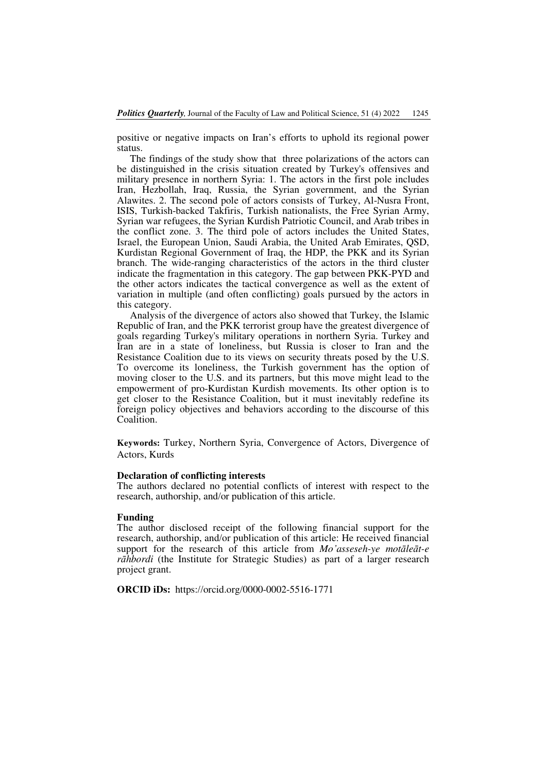positive or negative impacts on Iran's efforts to uphold its regional power status.

The findings of the study show that three polarizations of the actors can be distinguished in the crisis situation created by Turkey's offensives and military presence in northern Syria: 1. The actors in the first pole includes Iran, Hezbollah, Iraq, Russia, the Syrian government, and the Syrian Alawites. 2. The second pole of actors consists of Turkey, Al-Nusra Front, ISIS, Turkish-backed Takfiris, Turkish nationalists, the Free Syrian Army, Syrian war refugees, the Syrian Kurdish Patriotic Council, and Arab tribes in the conflict zone. 3. The third pole of actors includes the United States, Israel, the European Union, Saudi Arabia, the United Arab Emirates, QSD, Kurdistan Regional Government of Iraq, the HDP, the PKK and its Syrian branch. The wide-ranging characteristics of the actors in the third cluster indicate the fragmentation in this category. The gap between PKK-PYD and the other actors indicates the tactical convergence as well as the extent of variation in multiple (and often conflicting) goals pursued by the actors in this category.

Analysis of the divergence of actors also showed that Turkey, the Islamic Republic of Iran, and the PKK terrorist group have the greatest divergence of goals regarding Turkey's military operations in northern Syria. Turkey and Iran are in a state of loneliness, but Russia is closer to Iran and the Resistance Coalition due to its views on security threats posed by the U.S. To overcome its loneliness, the Turkish government has the option of moving closer to the U.S. and its partners, but this move might lead to the empowerment of pro-Kurdistan Kurdish movements. Its other option is to get closer to the Resistance Coalition, but it must inevitably redefine its foreign policy objectives and behaviors according to the discourse of this Coalition.

**Keywords:** Turkey, Northern Syria, Convergence of Actors, Divergence of Actors, Kurds

#### **Declaration of conflicting interests**

The authors declared no potential conflicts of interest with respect to the research, authorship, and/or publication of this article.

### **Funding**

The author disclosed receipt of the following financial support for the research, authorship, and/or publication of this article: He received financial support for the research of this article from *Mo'asseseh-ye motāleāt-e rāhbordi* (the Institute for Strategic Studies) as part of a larger research project grant.

**ORCID iDs:** https://orcid.org/0000-0002-5516-1771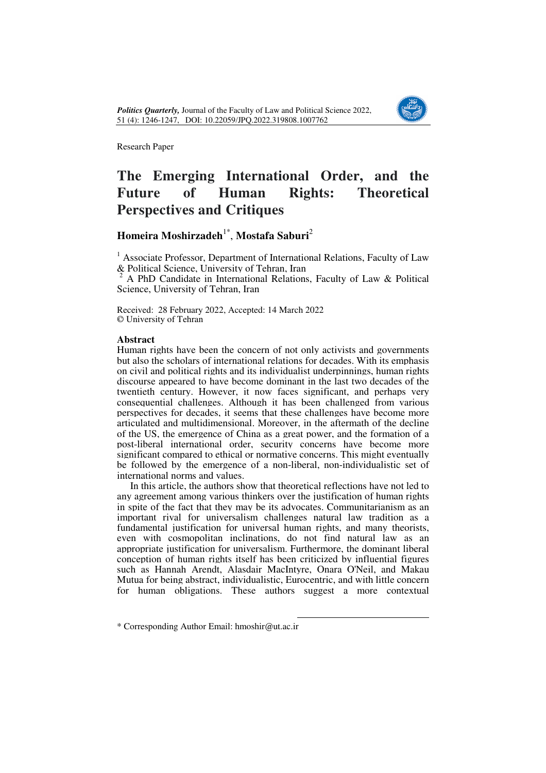

# **The Emerging International Order, and the Future of Human Rights: Theoretical Perspectives and Critiques**

# **Homeira Moshirzadeh**1\* , **Mostafa Saburi**<sup>2</sup>

<sup>1</sup> Associate Professor, Department of International Relations, Faculty of Law & Political Science, University of Tehran, Iran

2 A PhD Candidate in International Relations, Faculty of Law & Political Science, University of Tehran, Iran

Received: 28 February 2022, Accepted: 14 March 2022 © University of Tehran

## **Abstract**

Human rights have been the concern of not only activists and governments but also the scholars of international relations for decades. With its emphasis on civil and political rights and its individualist underpinnings, human rights discourse appeared to have become dominant in the last two decades of the twentieth century. However, it now faces significant, and perhaps very consequential challenges. Although it has been challenged from various perspectives for decades, it seems that these challenges have become more articulated and multidimensional. Moreover, in the aftermath of the decline of the US, the emergence of China as a great power, and the formation of a post-liberal international order, security concerns have become more significant compared to ethical or normative concerns. This might eventually be followed by the emergence of a non-liberal, non-individualistic set of international norms and values.

In this article, the authors show that theoretical reflections have not led to any agreement among various thinkers over the justification of human rights in spite of the fact that they may be its advocates. Communitarianism as an important rival for universalism challenges natural law tradition as a fundamental justification for universal human rights, and many theorists, even with cosmopolitan inclinations, do not find natural law as an appropriate justification for universalism. Furthermore, the dominant liberal conception of human rights itself has been criticized by influential figures such as Hannah Arendt, Alasdair MacIntyre, Onara O'Neil, and Makau Mutua for being abstract, individualistic, Eurocentric, and with little concern for human obligations. These authors suggest a more contextual

<sup>\*</sup> Corresponding Author Email: hmoshir@ut.ac.ir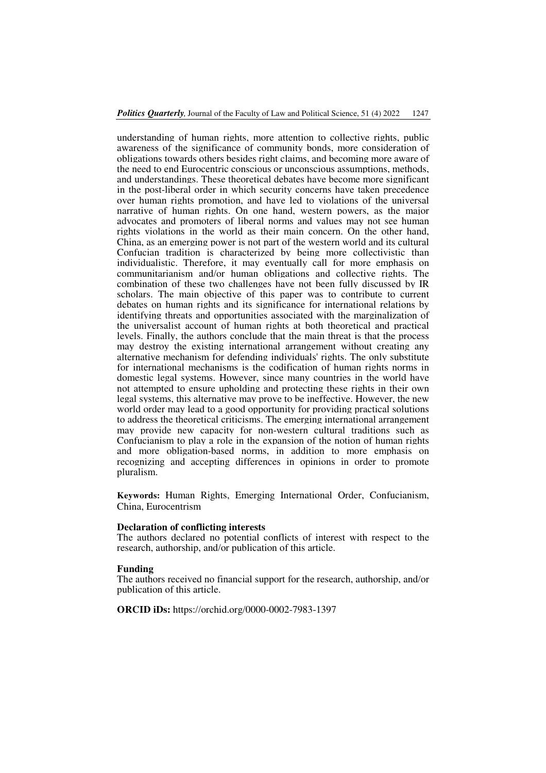understanding of human rights, more attention to collective rights, public awareness of the significance of community bonds, more consideration of obligations towards others besides right claims, and becoming more aware of the need to end Eurocentric conscious or unconscious assumptions, methods, and understandings. These theoretical debates have become more significant in the post-liberal order in which security concerns have taken precedence over human rights promotion, and have led to violations of the universal narrative of human rights. On one hand, western powers, as the major advocates and promoters of liberal norms and values may not see human rights violations in the world as their main concern. On the other hand, China, as an emerging power is not part of the western world and its cultural Confucian tradition is characterized by being more collectivistic than individualistic. Therefore, it may eventually call for more emphasis on communitarianism and/or human obligations and collective rights. The combination of these two challenges have not been fully discussed by IR scholars. The main objective of this paper was to contribute to current debates on human rights and its significance for international relations by identifying threats and opportunities associated with the marginalization of the universalist account of human rights at both theoretical and practical levels. Finally, the authors conclude that the main threat is that the process may destroy the existing international arrangement without creating any alternative mechanism for defending individuals' rights. The only substitute for international mechanisms is the codification of human rights norms in domestic legal systems. However, since many countries in the world have not attempted to ensure upholding and protecting these rights in their own legal systems, this alternative may prove to be ineffective. However, the new world order may lead to a good opportunity for providing practical solutions to address the theoretical criticisms. The emerging international arrangement may provide new capacity for non-western cultural traditions such as Confucianism to play a role in the expansion of the notion of human rights and more obligation-based norms, in addition to more emphasis on recognizing and accepting differences in opinions in order to promote pluralism.

**Keywords:** Human Rights, Emerging International Order, Confucianism, China, Eurocentrism

### **Declaration of conflicting interests**

The authors declared no potential conflicts of interest with respect to the research, authorship, and/or publication of this article.

#### **Funding**

The authors received no financial support for the research, authorship, and/or publication of this article.

**ORCID iDs:** https://orchid.org/0000-0002-7983-1397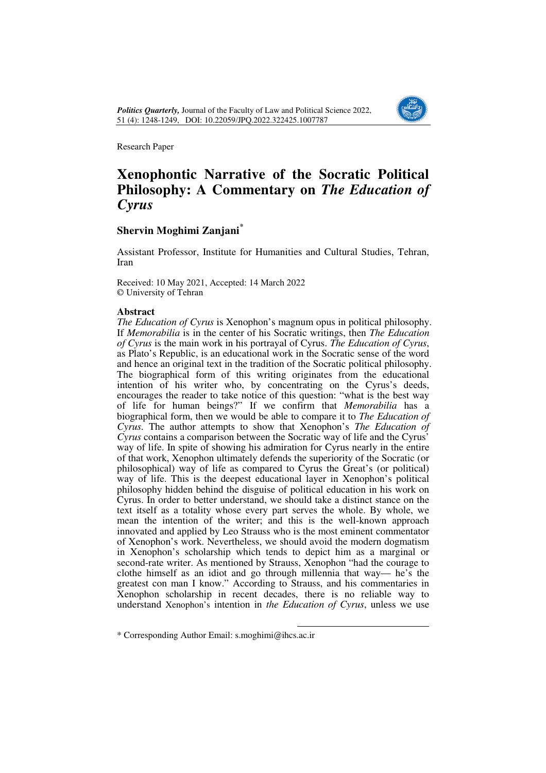

# **Xenophontic Narrative of the Socratic Political Philosophy: A Commentary on** *The Education of Cyrus*

# **Shervin Moghimi Zanjani<sup>1</sup> \***

Assistant Professor, Institute for Humanities and Cultural Studies, Tehran, Iran

Received: 10 May 2021, Accepted: 14 March 2022 © University of Tehran

### **Abstract**

*The Education of Cyrus* is Xenophon's magnum opus in political philosophy. If *Memorabilia* is in the center of his Socratic writings, then *The Education of Cyrus* is the main work in his portrayal of Cyrus. *The Education of Cyrus*, as Plato's Republic, is an educational work in the Socratic sense of the word and hence an original text in the tradition of the Socratic political philosophy. The biographical form of this writing originates from the educational intention of his writer who, by concentrating on the Cyrus's deeds, encourages the reader to take notice of this question: "what is the best way of life for human beings?" If we confirm that *Memorabilia* has a biographical form, then we would be able to compare it to *The Education of Cyrus.* The author attempts to show that Xenophon's *The Education of Cyrus* contains a comparison between the Socratic way of life and the Cyrus' way of life. In spite of showing his admiration for Cyrus nearly in the entire of that work, Xenophon ultimately defends the superiority of the Socratic (or philosophical) way of life as compared to Cyrus the Great's (or political) way of life. This is the deepest educational layer in Xenophon's political philosophy hidden behind the disguise of political education in his work on Cyrus. In order to better understand, we should take a distinct stance on the text itself as a totality whose every part serves the whole. By whole, we mean the intention of the writer; and this is the well-known approach innovated and applied by Leo Strauss who is the most eminent commentator of Xenophon's work. Nevertheless, we should avoid the modern dogmatism in Xenophon's scholarship which tends to depict him as a marginal or second-rate writer. As mentioned by Strauss, Xenophon "had the courage to clothe himself as an idiot and go through millennia that way— he's the greatest con man I know." According to Strauss, and his commentaries in Xenophon scholarship in recent decades, there is no reliable way to understand Xenophon's intention in *the Education of Cyrus*, unless we use

 $\overline{a}$ \* Corresponding Author Email: s.moghimi@ihcs.ac.ir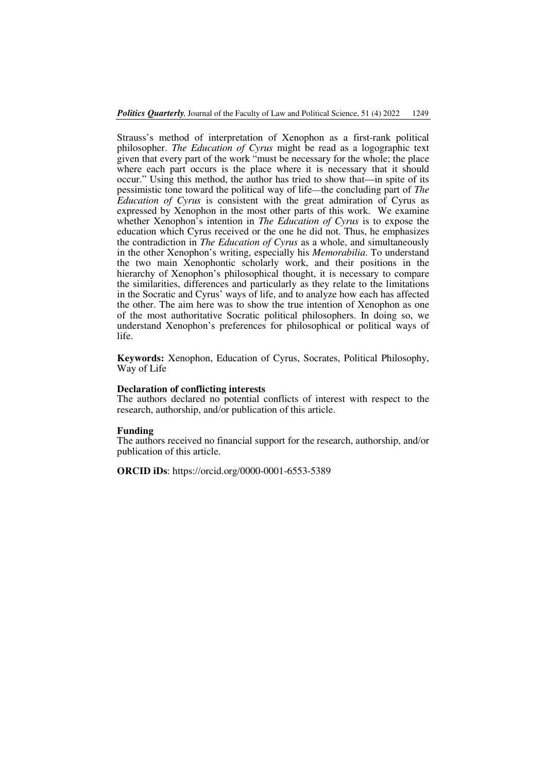Strauss's method of interpretation of Xenophon as a first-rank political philosopher. *The Education of Cyrus* might be read as a logographic text given that every part of the work "must be necessary for the whole; the place where each part occurs is the place where it is necessary that it should occur." Using this method, the author has tried to show that—in spite of its pessimistic tone toward the political way of life—the concluding part of *The Education of Cyrus* is consistent with the great admiration of Cyrus as expressed by Xenophon in the most other parts of this work. We examine whether Xenophon's intention in *The Education of Cyrus* is to expose the education which Cyrus received or the one he did not. Thus, he emphasizes the contradiction in *The Education of Cyrus* as a whole, and simultaneously in the other Xenophon's writing, especially his *Memorabilia*. To understand the two main Xenophontic scholarly work, and their positions in the hierarchy of Xenophon's philosophical thought, it is necessary to compare the similarities, differences and particularly as they relate to the limitations in the Socratic and Cyrus' ways of life, and to analyze how each has affected the other. The aim here was to show the true intention of Xenophon as one of the most authoritative Socratic political philosophers. In doing so, we understand Xenophon's preferences for philosophical or political ways of life.

**Keywords:** Xenophon, Education of Cyrus, Socrates, Political Philosophy, Way of Life

#### **Declaration of conflicting interests**

The authors declared no potential conflicts of interest with respect to the research, authorship, and/or publication of this article.

#### **Funding**

The authors received no financial support for the research, authorship, and/or publication of this article.

**ORCID iDs**: https://orcid.org/0000-0001-6553-5389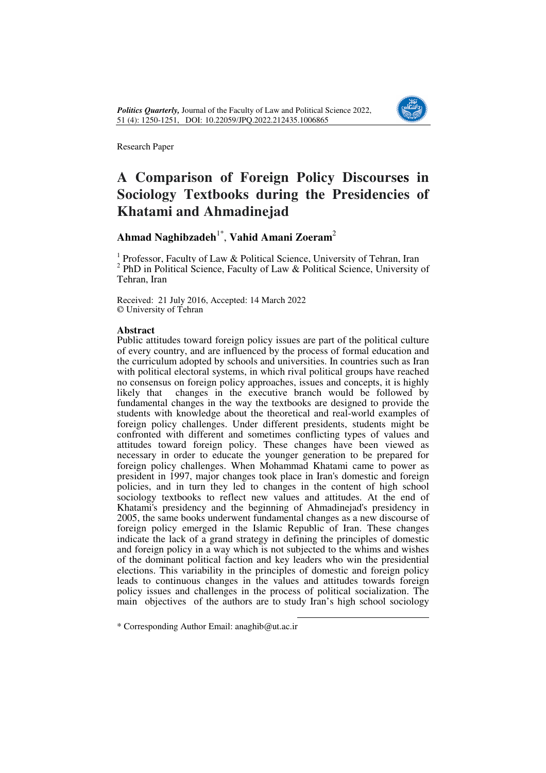

# **A Comparison of Foreign Policy Discourses in Sociology Textbooks during the Presidencies of Khatami and Ahmadinejad**

# **Ahmad Naghibzadeh**1\* , **Vahid Amani Zoeram**<sup>2</sup>

<sup>1</sup> Professor, Faculty of Law & Political Science, University of Tehran, Iran  $2$  PhD in Political Science, Faculty of Law & Political Science, University of Tehran, Iran

Received: 21 July 2016, Accepted: 14 March 2022 © University of Tehran

## **Abstract**

Public attitudes toward foreign policy issues are part of the political culture of every country, and are influenced by the process of formal education and the curriculum adopted by schools and universities. In countries such as Iran with political electoral systems, in which rival political groups have reached no consensus on foreign policy approaches, issues and concepts, it is highly likely that changes in the executive branch would be followed by fundamental changes in the way the textbooks are designed to provide the students with knowledge about the theoretical and real-world examples of foreign policy challenges. Under different presidents, students might be confronted with different and sometimes conflicting types of values and attitudes toward foreign policy. These changes have been viewed as necessary in order to educate the younger generation to be prepared for foreign policy challenges. When Mohammad Khatami came to power as president in 1997, major changes took place in Iran's domestic and foreign policies, and in turn they led to changes in the content of high school sociology textbooks to reflect new values and attitudes. At the end of Khatami's presidency and the beginning of Ahmadinejad's presidency in 2005, the same books underwent fundamental changes as a new discourse of foreign policy emerged in the Islamic Republic of Iran. These changes indicate the lack of a grand strategy in defining the principles of domestic and foreign policy in a way which is not subjected to the whims and wishes of the dominant political faction and key leaders who win the presidential elections. This variability in the principles of domestic and foreign policy leads to continuous changes in the values and attitudes towards foreign policy issues and challenges in the process of political socialization. The main objectives of the authors are to study Iran's high school sociology

 $\overline{a}$ 

\* Corresponding Author Email: anaghib@ut.ac.ir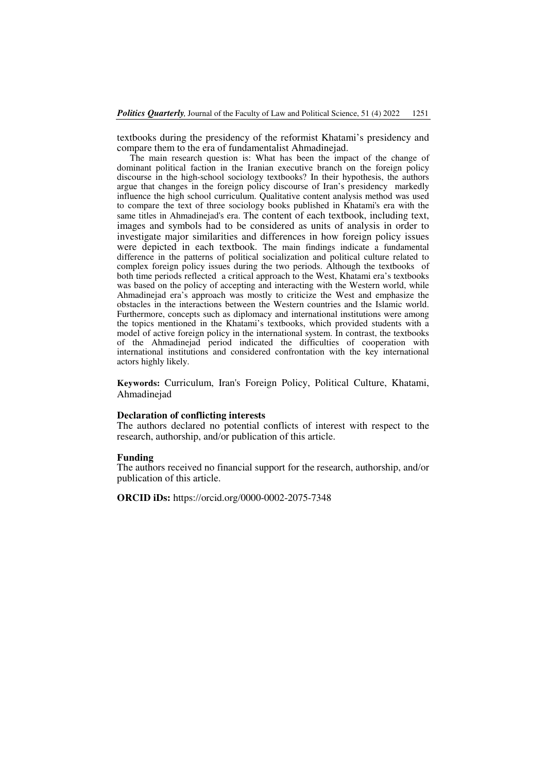textbooks during the presidency of the reformist Khatami's presidency and compare them to the era of fundamentalist Ahmadinejad.

The main research question is: What has been the impact of the change of dominant political faction in the Iranian executive branch on the foreign policy discourse in the high-school sociology textbooks? In their hypothesis, the authors argue that changes in the foreign policy discourse of Iran's presidency markedly influence the high school curriculum. Qualitative content analysis method was used to compare the text of three sociology books published in Khatami's era with the same titles in Ahmadinejad's era. The content of each textbook, including text, images and symbols had to be considered as units of analysis in order to investigate major similarities and differences in how foreign policy issues were depicted in each textbook. The main findings indicate a fundamental difference in the patterns of political socialization and political culture related to complex foreign policy issues during the two periods. Although the textbooks of both time periods reflected a critical approach to the West, Khatami era's textbooks was based on the policy of accepting and interacting with the Western world, while Ahmadinejad era's approach was mostly to criticize the West and emphasize the obstacles in the interactions between the Western countries and the Islamic world. Furthermore, concepts such as diplomacy and international institutions were among the topics mentioned in the Khatami's textbooks, which provided students with a model of active foreign policy in the international system. In contrast, the textbooks of the Ahmadinejad period indicated the difficulties of cooperation with international institutions and considered confrontation with the key international actors highly likely.

**Keywords:** Curriculum, Iran's Foreign Policy, Political Culture, Khatami, Ahmadinejad

### **Declaration of conflicting interests**

The authors declared no potential conflicts of interest with respect to the research, authorship, and/or publication of this article.

#### **Funding**

The authors received no financial support for the research, authorship, and/or publication of this article.

**ORCID iDs:** https://orcid.org/0000-0002-2075-7348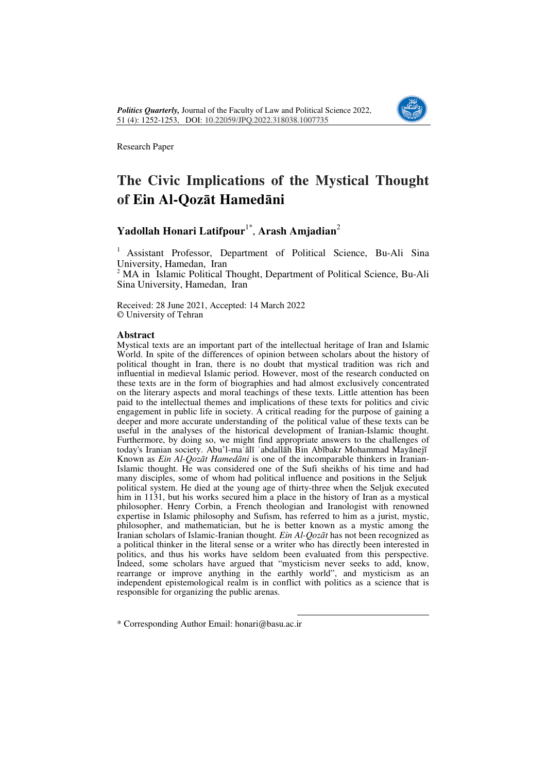

# **The Civic Implications of the Mystical Thought of Ein Al-Qozāt Hamedāni**

# **Yadollah Honari Latifpour**1\* , **Arash Amjadian**<sup>2</sup>

<sup>1</sup>Assistant Professor, Department of Political Science, Bu-Ali Sina University, Hamedan, Iran

<sup>2</sup> MA in Islamic Political Thought, Department of Political Science, Bu-Ali Sina University, Hamedan, Iran

Received: 28 June 2021, Accepted: 14 March 2022 © University of Tehran

### **Abstract**

Mystical texts are an important part of the intellectual heritage of Iran and Islamic World. In spite of the differences of opinion between scholars about the history of political thought in Iran, there is no doubt that mystical tradition was rich and influential in medieval Islamic period. However, most of the research conducted on these texts are in the form of biographies and had almost exclusively concentrated on the literary aspects and moral teachings of these texts. Little attention has been paid to the intellectual themes and implications of these texts for politics and civic engagement in public life in society. A critical reading for the purpose of gaining a deeper and more accurate understanding of the political value of these texts can be useful in the analyses of the historical development of Iranian-Islamic thought. Furthermore, by doing so, we might find appropriate answers to the challenges of today's Iranian society. Abu'l-maʿālī ʿabdallāh Bin Abībakr Mohammad Mayānejī Known as *Ein Al-Qozāt Hamedāni* is one of the incomparable thinkers in Iranian-Islamic thought. He was considered one of the Sufi sheikhs of his time and had many disciples, some of whom had political influence and positions in the Seljuk political system. He died at the young age of thirty-three when the Seljuk executed him in 1131, but his works secured him a place in the history of Iran as a mystical philosopher. Henry Corbin, a French theologian and Iranologist with renowned expertise in Islamic philosophy and Sufism, has referred to him as a jurist, mystic, philosopher, and mathematician, but he is better known as a mystic among the Iranian scholars of Islamic-Iranian thought. *Ein Al-Qozāt* has not been recognized as a political thinker in the literal sense or a writer who has directly been interested in politics, and thus his works have seldom been evaluated from this perspective. Indeed, some scholars have argued that "mysticism never seeks to add, know, rearrange or improve anything in the earthly world", and mysticism as an independent epistemological realm is in conflict with politics as a science that is responsible for organizing the public arenas.

 $\overline{a}$ 

\* Corresponding Author Email: honari@basu.ac.ir